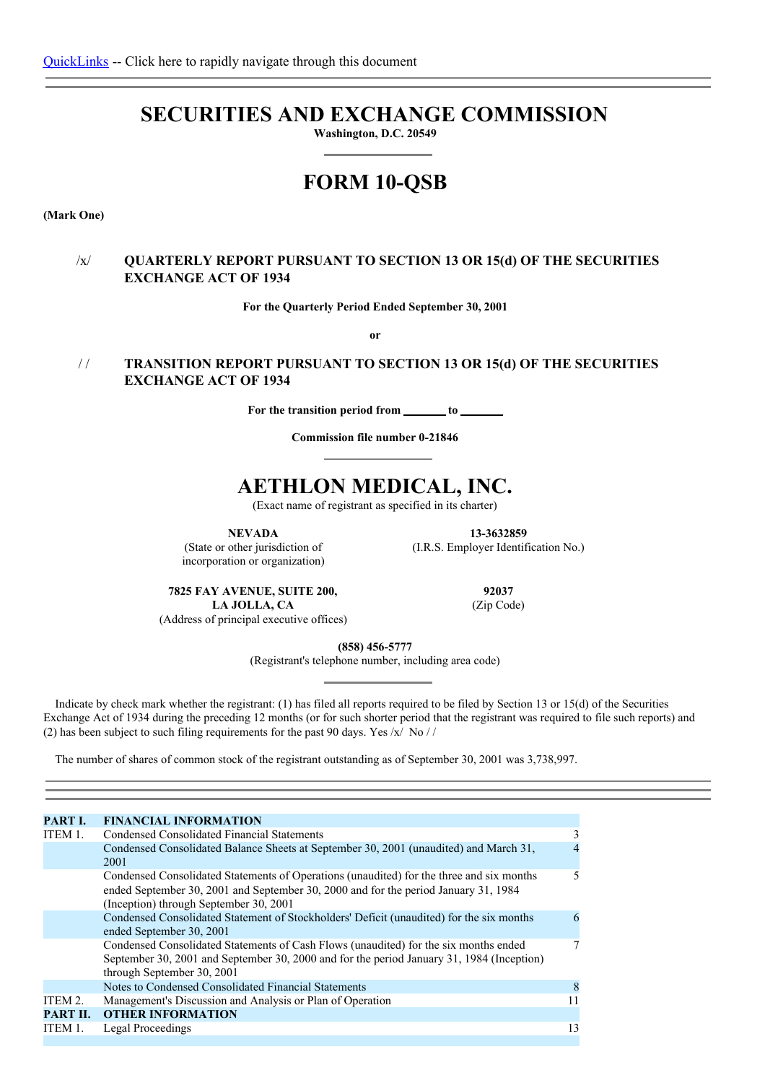# **SECURITIES AND EXCHANGE COMMISSION**

**Washington, D.C. 20549**

# **FORM 10-QSB**

**(Mark One)**

# /x/ **QUARTERLY REPORT PURSUANT TO SECTION 13 OR 15(d) OF THE SECURITIES EXCHANGE ACT OF 1934**

**For the Quarterly Period Ended September 30, 2001**

**or**

# / / **TRANSITION REPORT PURSUANT TO SECTION 13 OR 15(d) OF THE SECURITIES EXCHANGE ACT OF 1934**

**For the transition period from to**

**Commission file number 0-21846**

# **AETHLON MEDICAL, INC.**

(Exact name of registrant as specified in its charter)

**NEVADA**

(State or other jurisdiction of incorporation or organization)

**13-3632859** (I.R.S. Employer Identification No.)

**7825 FAY AVENUE, SUITE 200, LA JOLLA, CA** (Address of principal executive offices)

**92037** (Zip Code)

**(858) 456-5777**

(Registrant's telephone number, including area code)

Indicate by check mark whether the registrant: (1) has filed all reports required to be filed by Section 13 or 15(d) of the Securities Exchange Act of 1934 during the preceding 12 months (or for such shorter period that the registrant was required to file such reports) and (2) has been subject to such filing requirements for the past 90 days. Yes /x/ No / /

The number of shares of common stock of the registrant outstanding as of September 30, 2001 was 3,738,997.

| PART I.  | <b>FINANCIAL INFORMATION</b>                                                                                                                                                                                              |    |
|----------|---------------------------------------------------------------------------------------------------------------------------------------------------------------------------------------------------------------------------|----|
| ITEM 1.  | Condensed Consolidated Financial Statements                                                                                                                                                                               | 3  |
|          | Condensed Consolidated Balance Sheets at September 30, 2001 (unaudited) and March 31,<br>2001                                                                                                                             |    |
|          | Condensed Consolidated Statements of Operations (unaudited) for the three and six months<br>ended September 30, 2001 and September 30, 2000 and for the period January 31, 1984<br>(Inception) through September 30, 2001 | 5  |
|          | Condensed Consolidated Statement of Stockholders' Deficit (unaudited) for the six months<br>ended September 30, 2001                                                                                                      | 6  |
|          | Condensed Consolidated Statements of Cash Flows (unaudited) for the six months ended<br>September 30, 2001 and September 30, 2000 and for the period January 31, 1984 (Inception)<br>through September 30, 2001           |    |
|          | Notes to Condensed Consolidated Financial Statements                                                                                                                                                                      | 8  |
| ITEM 2.  | Management's Discussion and Analysis or Plan of Operation                                                                                                                                                                 |    |
| PART II. | <b>OTHER INFORMATION</b>                                                                                                                                                                                                  |    |
| ITEM 1.  | Legal Proceedings                                                                                                                                                                                                         | 13 |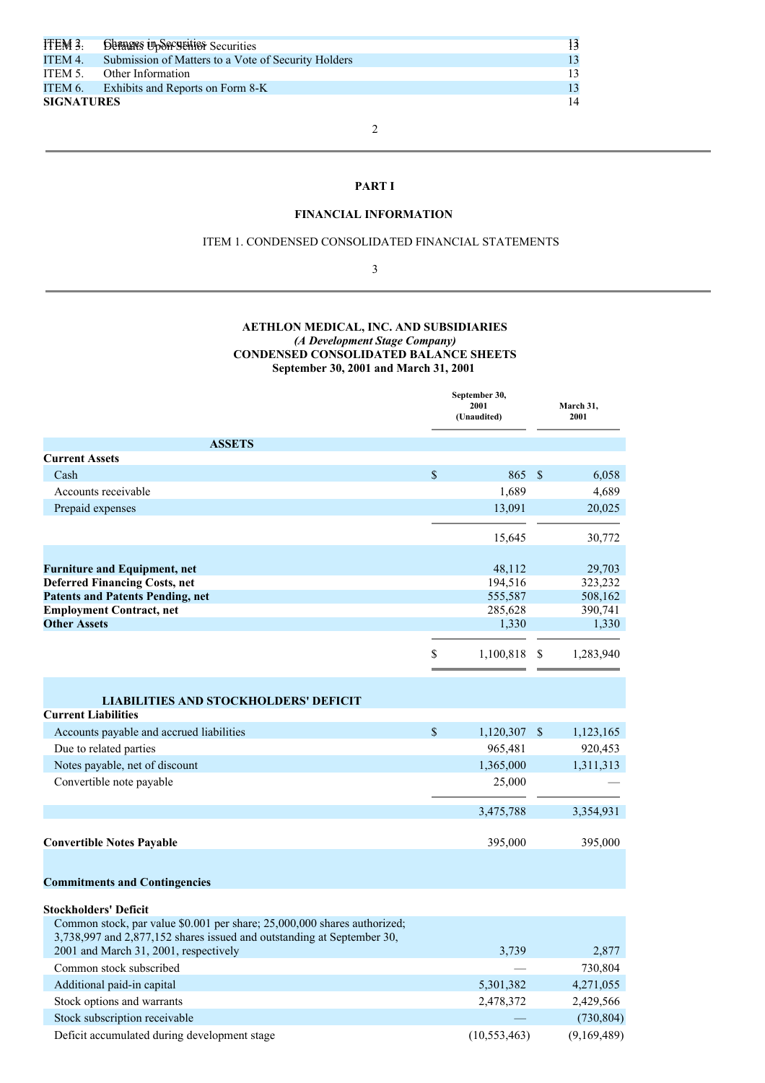| ITEM 3.           | <b>SURRIES UPSECURITIES</b> Securities              | 13 |
|-------------------|-----------------------------------------------------|----|
| ITEM 4.           | Submission of Matters to a Vote of Security Holders | 13 |
| ITEM 5.           | Other Information                                   | 13 |
|                   | ITEM 6. Exhibits and Reports on Form 8-K            | 13 |
| <b>SIGNATURES</b> |                                                     | 14 |

# 2

# **PART I**

# **FINANCIAL INFORMATION**

#### ITEM 1. CONDENSED CONSOLIDATED FINANCIAL STATEMENTS

3

## **AETHLON MEDICAL, INC. AND SUBSIDIARIES** *(A Development Stage Company)* **CONDENSED CONSOLIDATED BALANCE SHEETS September 30, 2001 and March 31, 2001**

|                                                                                                                                                    | September 30,<br>2001<br>(Unaudited) |               | March 31,<br>2001 |
|----------------------------------------------------------------------------------------------------------------------------------------------------|--------------------------------------|---------------|-------------------|
| <b>ASSETS</b>                                                                                                                                      |                                      |               |                   |
| <b>Current Assets</b>                                                                                                                              |                                      |               |                   |
| Cash                                                                                                                                               | \$<br>865                            | $\mathcal{S}$ | 6,058             |
| Accounts receivable                                                                                                                                | 1,689                                |               | 4,689             |
| Prepaid expenses                                                                                                                                   | 13,091                               |               | 20,025            |
|                                                                                                                                                    | 15,645                               |               | 30,772            |
|                                                                                                                                                    |                                      |               |                   |
| <b>Furniture and Equipment, net</b><br><b>Deferred Financing Costs, net</b>                                                                        | 48,112<br>194,516                    |               | 29,703<br>323,232 |
| <b>Patents and Patents Pending, net</b>                                                                                                            | 555,587                              |               | 508,162           |
| <b>Employment Contract, net</b>                                                                                                                    | 285,628                              |               | 390,741           |
| <b>Other Assets</b>                                                                                                                                | 1,330                                |               | 1,330             |
|                                                                                                                                                    | \$<br>1,100,818                      | -S            | 1,283,940         |
| <b>LIABILITIES AND STOCKHOLDERS' DEFICIT</b><br><b>Current Liabilities</b>                                                                         |                                      |               |                   |
| Accounts payable and accrued liabilities                                                                                                           | \$<br>1,120,307                      | - \$          | 1,123,165         |
| Due to related parties                                                                                                                             | 965,481                              |               | 920,453           |
| Notes payable, net of discount                                                                                                                     | 1,365,000                            |               | 1,311,313         |
| Convertible note payable                                                                                                                           | 25,000                               |               |                   |
|                                                                                                                                                    | 3,475,788                            |               | 3,354,931         |
| <b>Convertible Notes Payable</b>                                                                                                                   | 395,000                              |               | 395,000           |
| <b>Commitments and Contingencies</b>                                                                                                               |                                      |               |                   |
| <b>Stockholders' Deficit</b>                                                                                                                       |                                      |               |                   |
| Common stock, par value \$0.001 per share; 25,000,000 shares authorized;<br>3,738,997 and 2,877,152 shares issued and outstanding at September 30, |                                      |               |                   |
| 2001 and March 31, 2001, respectively                                                                                                              | 3,739                                |               | 2,877             |
| Common stock subscribed                                                                                                                            |                                      |               | 730,804           |
| Additional paid-in capital                                                                                                                         | 5,301,382                            |               | 4,271,055         |
| Stock options and warrants                                                                                                                         | 2,478,372                            |               | 2,429,566         |
| Stock subscription receivable                                                                                                                      |                                      |               | (730, 804)        |

Deficit accumulated during development stage (10,553,463) (9,169,489)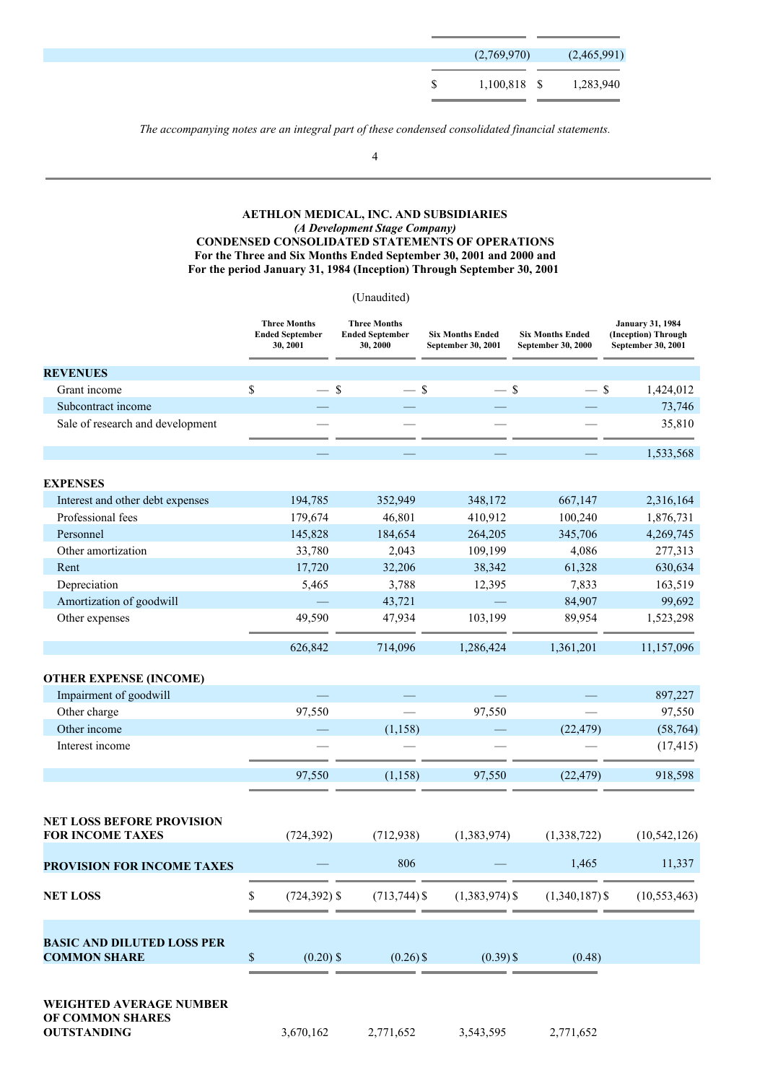|    | (2,769,970)            | (2,465,991) |
|----|------------------------|-------------|
| S. | 1,100,818 \$ 1,283,940 |             |

*The accompanying notes are an integral part of these condensed consolidated financial statements.*

4

## **AETHLON MEDICAL, INC. AND SUBSIDIARIES** *(A Development Stage Company)* **CONDENSED CONSOLIDATED STATEMENTS OF OPERATIONS For the Three and Six Months Ended September 30, 2001 and 2000 and For the period January 31, 1984 (Inception) Through September 30, 2001**

## (Unaudited)

|                                                             | <b>Three Months</b><br><b>Ended September</b><br>30, 2001 | <b>Three Months</b><br><b>Ended September</b><br>30, 2000 | <b>Six Months Ended</b><br>September 30, 2001 | <b>Six Months Ended</b><br>September 30, 2000 | <b>January 31, 1984</b><br>(Inception) Through<br>September 30, 2001 |
|-------------------------------------------------------------|-----------------------------------------------------------|-----------------------------------------------------------|-----------------------------------------------|-----------------------------------------------|----------------------------------------------------------------------|
| <b>REVENUES</b>                                             |                                                           |                                                           |                                               |                                               |                                                                      |
| Grant income                                                | \$<br>$-$ \$                                              | $-$ \$                                                    | $-$ \$                                        | $-$ \$                                        | 1,424,012                                                            |
| Subcontract income                                          |                                                           |                                                           |                                               |                                               | 73,746                                                               |
| Sale of research and development                            |                                                           |                                                           |                                               |                                               | 35,810                                                               |
|                                                             |                                                           |                                                           |                                               |                                               | 1,533,568                                                            |
| <b>EXPENSES</b>                                             |                                                           |                                                           |                                               |                                               |                                                                      |
| Interest and other debt expenses                            | 194,785                                                   | 352,949                                                   | 348,172                                       | 667,147                                       | 2,316,164                                                            |
| Professional fees                                           | 179,674                                                   | 46,801                                                    | 410,912                                       | 100,240                                       | 1,876,731                                                            |
| Personnel                                                   | 145,828                                                   | 184,654                                                   | 264,205                                       | 345,706                                       | 4,269,745                                                            |
| Other amortization                                          | 33,780                                                    | 2,043                                                     | 109,199                                       | 4,086                                         | 277,313                                                              |
| Rent                                                        | 17,720                                                    | 32,206                                                    | 38,342                                        | 61,328                                        | 630,634                                                              |
| Depreciation                                                | 5,465                                                     | 3,788                                                     | 12,395                                        | 7,833                                         | 163,519                                                              |
| Amortization of goodwill                                    |                                                           | 43,721                                                    |                                               | 84,907                                        | 99,692                                                               |
| Other expenses                                              | 49,590                                                    | 47,934                                                    | 103,199                                       | 89,954                                        | 1,523,298                                                            |
|                                                             | 626,842                                                   | 714,096                                                   | 1,286,424                                     | 1,361,201                                     | 11,157,096                                                           |
| <b>OTHER EXPENSE (INCOME)</b>                               |                                                           |                                                           |                                               |                                               |                                                                      |
| Impairment of goodwill                                      |                                                           |                                                           |                                               |                                               | 897,227                                                              |
| Other charge                                                | 97,550                                                    |                                                           | 97,550                                        |                                               | 97,550                                                               |
| Other income                                                |                                                           | (1, 158)                                                  |                                               | (22, 479)                                     | (58, 764)                                                            |
| Interest income                                             |                                                           |                                                           |                                               |                                               | (17, 415)                                                            |
|                                                             |                                                           |                                                           |                                               |                                               |                                                                      |
|                                                             | 97,550                                                    | (1, 158)                                                  | 97,550                                        | (22, 479)                                     | 918,598                                                              |
|                                                             |                                                           |                                                           |                                               |                                               |                                                                      |
| <b>NET LOSS BEFORE PROVISION</b><br><b>FOR INCOME TAXES</b> | (724, 392)                                                | (712, 938)                                                | (1,383,974)                                   | (1,338,722)                                   | (10, 542, 126)                                                       |
| PROVISION FOR INCOME TAXES                                  |                                                           | 806                                                       |                                               | 1,465                                         | 11,337                                                               |
|                                                             |                                                           |                                                           |                                               |                                               |                                                                      |
| <b>NET LOSS</b>                                             | \$<br>$(724, 392)$ \$                                     | $(713, 744)$ \$                                           | $(1,383,974)$ \$                              | $(1,340,187)$ \$                              | (10, 553, 463)                                                       |
|                                                             |                                                           |                                                           |                                               |                                               |                                                                      |
| <b>BASIC AND DILUTED LOSS PER</b><br><b>COMMON SHARE</b>    | $\$$<br>$(0.20)$ \$                                       | $(0.26)$ \$                                               | $(0.39)$ \$                                   | (0.48)                                        |                                                                      |
|                                                             |                                                           |                                                           |                                               |                                               |                                                                      |
| <b>WEIGHTED AVERAGE NUMBER</b>                              |                                                           |                                                           |                                               |                                               |                                                                      |
| OF COMMON SHARES<br><b>OUTSTANDING</b>                      | 3,670,162                                                 | 2,771,652                                                 | 3,543,595                                     | 2,771,652                                     |                                                                      |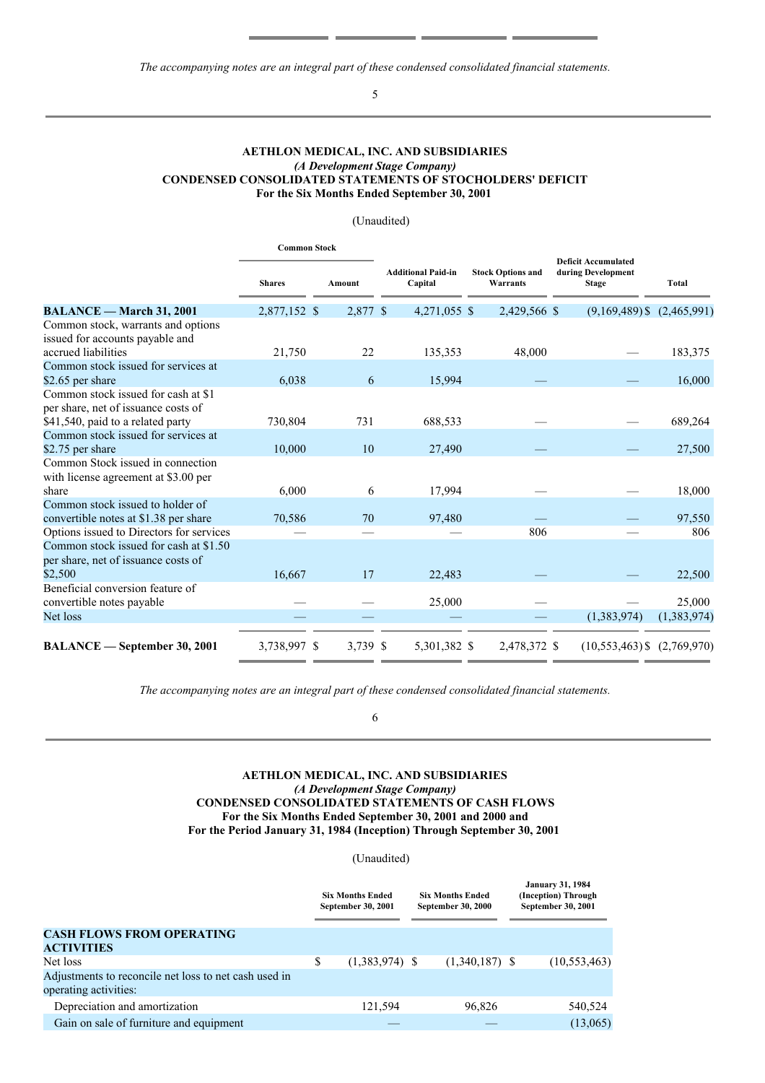*The accompanying notes are an integral part of these condensed consolidated financial statements.*

# 5

#### **AETHLON MEDICAL, INC. AND SUBSIDIARIES** *(A Development Stage Company)* **CONDENSED CONSOLIDATED STATEMENTS OF STOCHOLDERS' DEFICIT For the Six Months Ended September 30, 2001**

## (Unaudited)

|                                          | <b>Common Stock</b> |               |                                      |                                      |                                                                  |             |
|------------------------------------------|---------------------|---------------|--------------------------------------|--------------------------------------|------------------------------------------------------------------|-------------|
|                                          | <b>Shares</b>       | <b>Amount</b> | <b>Additional Paid-in</b><br>Capital | <b>Stock Options and</b><br>Warrants | <b>Deficit Accumulated</b><br>during Development<br><b>Stage</b> | Total       |
| <b>BALANCE</b> - March 31, 2001          | 2,877,152 \$        | 2,877 \$      | 4,271,055 \$                         | 2,429,566 \$                         | $(9,169,489)$ \$ $(2,465,991)$                                   |             |
| Common stock, warrants and options       |                     |               |                                      |                                      |                                                                  |             |
| issued for accounts payable and          |                     |               |                                      |                                      |                                                                  |             |
| accrued liabilities                      | 21,750              | 22            | 135,353                              | 48,000                               |                                                                  | 183,375     |
| Common stock issued for services at      |                     |               |                                      |                                      |                                                                  |             |
| \$2.65 per share                         | 6,038               | 6             | 15,994                               |                                      |                                                                  | 16,000      |
| Common stock issued for cash at \$1      |                     |               |                                      |                                      |                                                                  |             |
| per share, net of issuance costs of      |                     |               |                                      |                                      |                                                                  |             |
| \$41,540, paid to a related party        | 730,804             | 731           | 688,533                              |                                      |                                                                  | 689,264     |
| Common stock issued for services at      |                     |               |                                      |                                      |                                                                  |             |
| \$2.75 per share                         | 10,000              | 10            | 27,490                               |                                      |                                                                  | 27,500      |
| Common Stock issued in connection        |                     |               |                                      |                                      |                                                                  |             |
| with license agreement at \$3.00 per     |                     |               |                                      |                                      |                                                                  |             |
| share                                    | 6,000               | 6             | 17,994                               |                                      |                                                                  | 18,000      |
| Common stock issued to holder of         |                     |               |                                      |                                      |                                                                  |             |
| convertible notes at \$1.38 per share    | 70,586              | 70            | 97,480                               |                                      |                                                                  | 97,550      |
| Options issued to Directors for services |                     |               |                                      | 806                                  |                                                                  | 806         |
| Common stock issued for cash at \$1.50   |                     |               |                                      |                                      |                                                                  |             |
| per share, net of issuance costs of      |                     |               |                                      |                                      |                                                                  |             |
| \$2,500                                  | 16,667              | 17            | 22,483                               |                                      |                                                                  | 22,500      |
| Beneficial conversion feature of         |                     |               |                                      |                                      |                                                                  |             |
| convertible notes payable                |                     |               | 25,000                               |                                      |                                                                  | 25,000      |
| Net loss                                 |                     |               |                                      |                                      | (1,383,974)                                                      | (1,383,974) |
|                                          |                     |               |                                      |                                      |                                                                  |             |
| <b>BALANCE</b> — September 30, 2001      | 3,738,997 \$        | 3,739 \$      | 5,301,382 \$                         | 2,478,372 \$                         | $(10, 553, 463)$ \$                                              | (2,769,970) |

*The accompanying notes are an integral part of these condensed consolidated financial statements.*

6

## **AETHLON MEDICAL, INC. AND SUBSIDIARIES** *(A Development Stage Company)* **CONDENSED CONSOLIDATED STATEMENTS OF CASH FLOWS For the Six Months Ended September 30, 2001 and 2000 and For the Period January 31, 1984 (Inception) Through September 30, 2001**

(Unaudited)

|                                                       | <b>Six Months Ended</b><br>September 30, 2001 |                  | <b>Six Months Ended</b><br><b>September 30, 2000</b> |                  | <b>January 31, 1984</b><br>(Inception) Through<br>September 30, 2001 |                |
|-------------------------------------------------------|-----------------------------------------------|------------------|------------------------------------------------------|------------------|----------------------------------------------------------------------|----------------|
| <b>CASH FLOWS FROM OPERATING</b>                      |                                               |                  |                                                      |                  |                                                                      |                |
| <b>ACTIVITIES</b>                                     |                                               |                  |                                                      |                  |                                                                      |                |
| Net loss                                              | \$                                            | $(1,383,974)$ \$ |                                                      | $(1,340,187)$ \$ |                                                                      | (10, 553, 463) |
| Adjustments to reconcile net loss to net cash used in |                                               |                  |                                                      |                  |                                                                      |                |
| operating activities:                                 |                                               |                  |                                                      |                  |                                                                      |                |
| Depreciation and amortization                         |                                               | 121,594          |                                                      | 96,826           |                                                                      | 540,524        |
| Gain on sale of furniture and equipment               |                                               |                  |                                                      |                  |                                                                      | (13,065)       |
|                                                       |                                               |                  |                                                      |                  |                                                                      |                |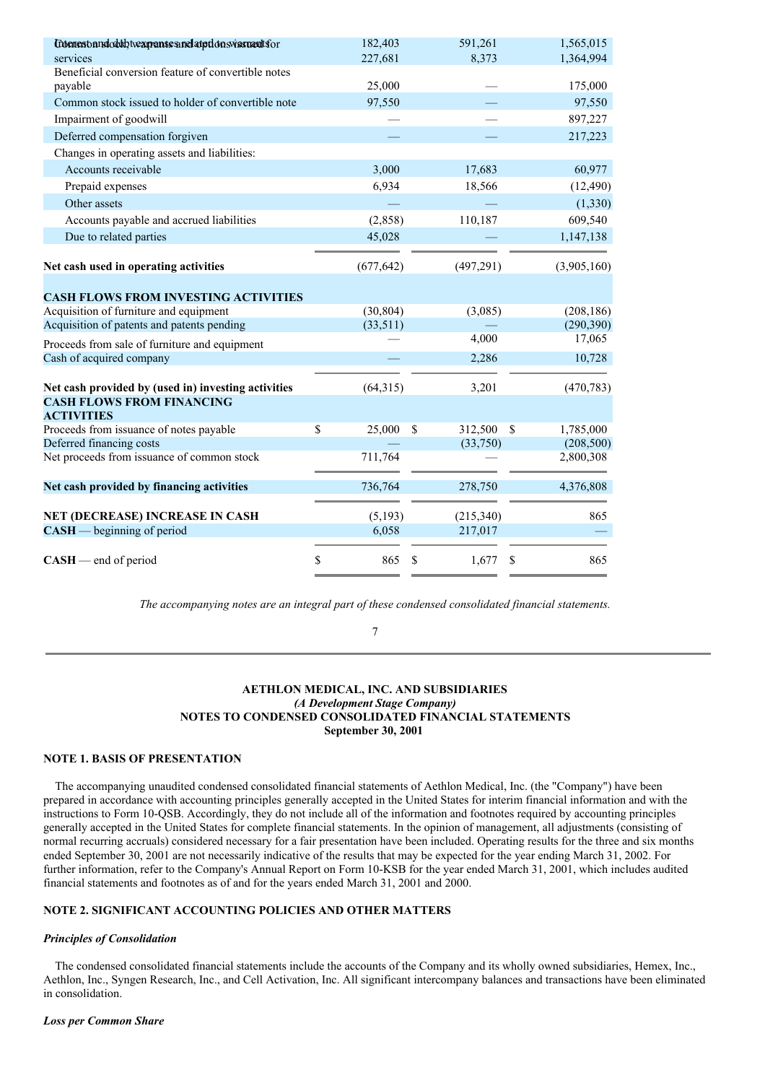| Entenest and oddy twa panses and atption swissmaat for        | 182,403      | 591,261                  | 1,565,015                  |
|---------------------------------------------------------------|--------------|--------------------------|----------------------------|
| services                                                      | 227,681      | 8,373                    | 1,364,994                  |
| Beneficial conversion feature of convertible notes<br>payable | 25,000       |                          | 175,000                    |
| Common stock issued to holder of convertible note             | 97,550       |                          | 97,550                     |
| Impairment of goodwill                                        |              |                          | 897,227                    |
| Deferred compensation forgiven                                |              |                          | 217,223                    |
| Changes in operating assets and liabilities:                  |              |                          |                            |
| Accounts receivable                                           | 3,000        | 17,683                   | 60,977                     |
| Prepaid expenses                                              | 6,934        | 18,566                   | (12, 490)                  |
| Other assets                                                  |              |                          | (1, 330)                   |
| Accounts payable and accrued liabilities                      | (2,858)      | 110,187                  | 609,540                    |
| Due to related parties                                        | 45,028       |                          | 1,147,138                  |
|                                                               |              |                          |                            |
| Net cash used in operating activities                         | (677, 642)   | (497, 291)               | (3,905,160)                |
|                                                               |              |                          |                            |
| <b>CASH FLOWS FROM INVESTING ACTIVITIES</b>                   |              |                          |                            |
| Acquisition of furniture and equipment                        | (30, 804)    | (3,085)                  | (208, 186)                 |
| Acquisition of patents and patents pending                    | (33,511)     |                          | (290, 390)                 |
| Proceeds from sale of furniture and equipment                 |              | 4,000                    | 17,065                     |
| Cash of acquired company                                      |              | 2,286                    | 10,728                     |
| Net cash provided by (used in) investing activities           | (64,315)     | 3,201                    | (470, 783)                 |
| <b>CASH FLOWS FROM FINANCING</b>                              |              |                          |                            |
| <b>ACTIVITIES</b><br>Proceeds from issuance of notes payable  | \$<br>25,000 | 312,500<br><sup>\$</sup> | <sup>\$</sup><br>1,785,000 |
| Deferred financing costs                                      |              | (33,750)                 | (208, 500)                 |
| Net proceeds from issuance of common stock                    | 711,764      |                          | 2,800,308                  |
|                                                               |              |                          |                            |
| Net cash provided by financing activities                     | 736,764      | 278,750                  | 4,376,808                  |
| NET (DECREASE) INCREASE IN CASH                               | (5, 193)     | (215,340)                | 865                        |
| $CASH$ beginning of period                                    | 6,058        | 217,017                  |                            |
| $CASH$ – end of period                                        | 865<br>\$    | 1,677<br>S               | 865<br>S                   |
|                                                               |              |                          |                            |

*The accompanying notes are an integral part of these condensed consolidated financial statements.*

#### 7

#### **AETHLON MEDICAL, INC. AND SUBSIDIARIES** *(A Development Stage Company)* **NOTES TO CONDENSED CONSOLIDATED FINANCIAL STATEMENTS September 30, 2001**

## **NOTE 1. BASIS OF PRESENTATION**

The accompanying unaudited condensed consolidated financial statements of Aethlon Medical, Inc. (the "Company") have been prepared in accordance with accounting principles generally accepted in the United States for interim financial information and with the instructions to Form 10-QSB. Accordingly, they do not include all of the information and footnotes required by accounting principles generally accepted in the United States for complete financial statements. In the opinion of management, all adjustments (consisting of normal recurring accruals) considered necessary for a fair presentation have been included. Operating results for the three and six months ended September 30, 2001 are not necessarily indicative of the results that may be expected for the year ending March 31, 2002. For further information, refer to the Company's Annual Report on Form 10-KSB for the year ended March 31, 2001, which includes audited financial statements and footnotes as of and for the years ended March 31, 2001 and 2000.

## **NOTE 2. SIGNIFICANT ACCOUNTING POLICIES AND OTHER MATTERS**

#### *Principles of Consolidation*

The condensed consolidated financial statements include the accounts of the Company and its wholly owned subsidiaries, Hemex, Inc., Aethlon, Inc., Syngen Research, Inc., and Cell Activation, Inc. All significant intercompany balances and transactions have been eliminated in consolidation.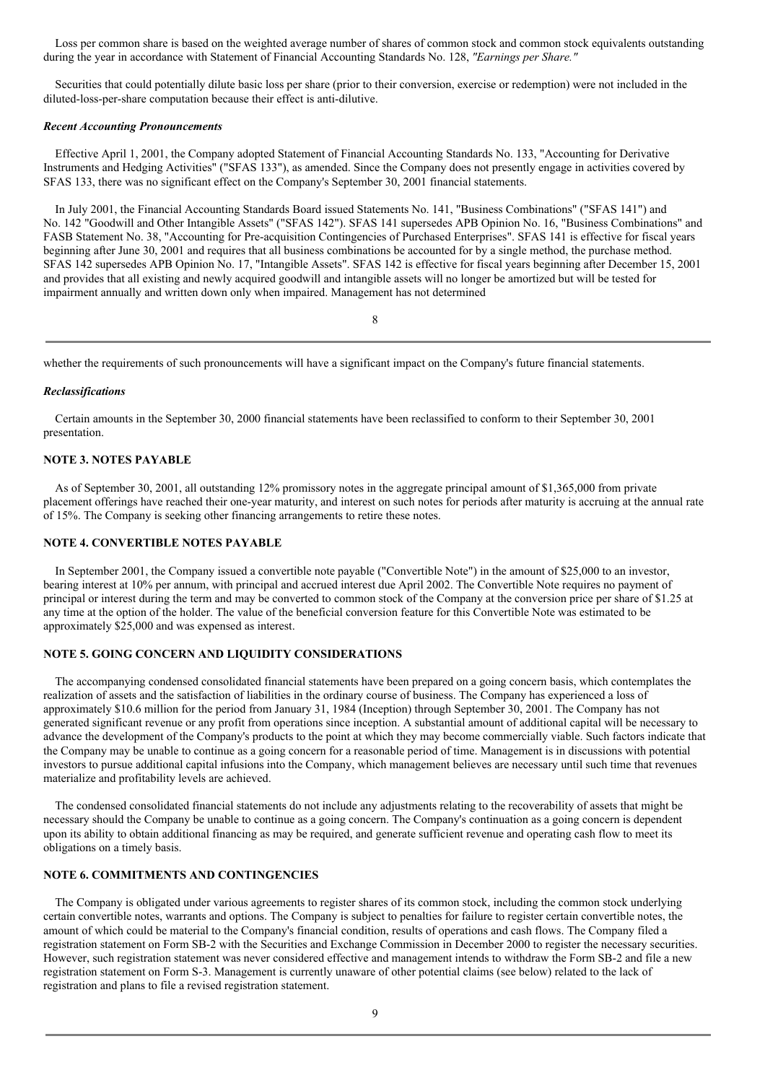Loss per common share is based on the weighted average number of shares of common stock and common stock equivalents outstanding during the year in accordance with Statement of Financial Accounting Standards No. 128, *"Earnings per Share."*

Securities that could potentially dilute basic loss per share (prior to their conversion, exercise or redemption) were not included in the diluted-loss-per-share computation because their effect is anti-dilutive.

#### *Recent Accounting Pronouncements*

Effective April 1, 2001, the Company adopted Statement of Financial Accounting Standards No. 133, "Accounting for Derivative Instruments and Hedging Activities" ("SFAS 133"), as amended. Since the Company does not presently engage in activities covered by SFAS 133, there was no significant effect on the Company's September 30, 2001 financial statements.

In July 2001, the Financial Accounting Standards Board issued Statements No. 141, "Business Combinations" ("SFAS 141") and No. 142 "Goodwill and Other Intangible Assets" ("SFAS 142"). SFAS 141 supersedes APB Opinion No. 16, "Business Combinations" and FASB Statement No. 38, "Accounting for Pre-acquisition Contingencies of Purchased Enterprises". SFAS 141 is effective for fiscal years beginning after June 30, 2001 and requires that all business combinations be accounted for by a single method, the purchase method. SFAS 142 supersedes APB Opinion No. 17, "Intangible Assets". SFAS 142 is effective for fiscal years beginning after December 15, 2001 and provides that all existing and newly acquired goodwill and intangible assets will no longer be amortized but will be tested for impairment annually and written down only when impaired. Management has not determined

8

whether the requirements of such pronouncements will have a significant impact on the Company's future financial statements.

#### *Reclassifications*

Certain amounts in the September 30, 2000 financial statements have been reclassified to conform to their September 30, 2001 presentation.

## **NOTE 3. NOTES PAYABLE**

As of September 30, 2001, all outstanding 12% promissory notes in the aggregate principal amount of \$1,365,000 from private placement offerings have reached their one-year maturity, and interest on such notes for periods after maturity is accruing at the annual rate of 15%. The Company is seeking other financing arrangements to retire these notes.

## **NOTE 4. CONVERTIBLE NOTES PAYABLE**

In September 2001, the Company issued a convertible note payable ("Convertible Note") in the amount of \$25,000 to an investor, bearing interest at 10% per annum, with principal and accrued interest due April 2002. The Convertible Note requires no payment of principal or interest during the term and may be converted to common stock of the Company at the conversion price per share of \$1.25 at any time at the option of the holder. The value of the beneficial conversion feature for this Convertible Note was estimated to be approximately \$25,000 and was expensed as interest.

## **NOTE 5. GOING CONCERN AND LIQUIDITY CONSIDERATIONS**

The accompanying condensed consolidated financial statements have been prepared on a going concern basis, which contemplates the realization of assets and the satisfaction of liabilities in the ordinary course of business. The Company has experienced a loss of approximately \$10.6 million for the period from January 31, 1984 (Inception) through September 30, 2001. The Company has not generated significant revenue or any profit from operations since inception. A substantial amount of additional capital will be necessary to advance the development of the Company's products to the point at which they may become commercially viable. Such factors indicate that the Company may be unable to continue as a going concern for a reasonable period of time. Management is in discussions with potential investors to pursue additional capital infusions into the Company, which management believes are necessary until such time that revenues materialize and profitability levels are achieved.

The condensed consolidated financial statements do not include any adjustments relating to the recoverability of assets that might be necessary should the Company be unable to continue as a going concern. The Company's continuation as a going concern is dependent upon its ability to obtain additional financing as may be required, and generate sufficient revenue and operating cash flow to meet its obligations on a timely basis.

## **NOTE 6. COMMITMENTS AND CONTINGENCIES**

The Company is obligated under various agreements to register shares of its common stock, including the common stock underlying certain convertible notes, warrants and options. The Company is subject to penalties for failure to register certain convertible notes, the amount of which could be material to the Company's financial condition, results of operations and cash flows. The Company filed a registration statement on Form SB-2 with the Securities and Exchange Commission in December 2000 to register the necessary securities. However, such registration statement was never considered effective and management intends to withdraw the Form SB-2 and file a new registration statement on Form S-3. Management is currently unaware of other potential claims (see below) related to the lack of registration and plans to file a revised registration statement.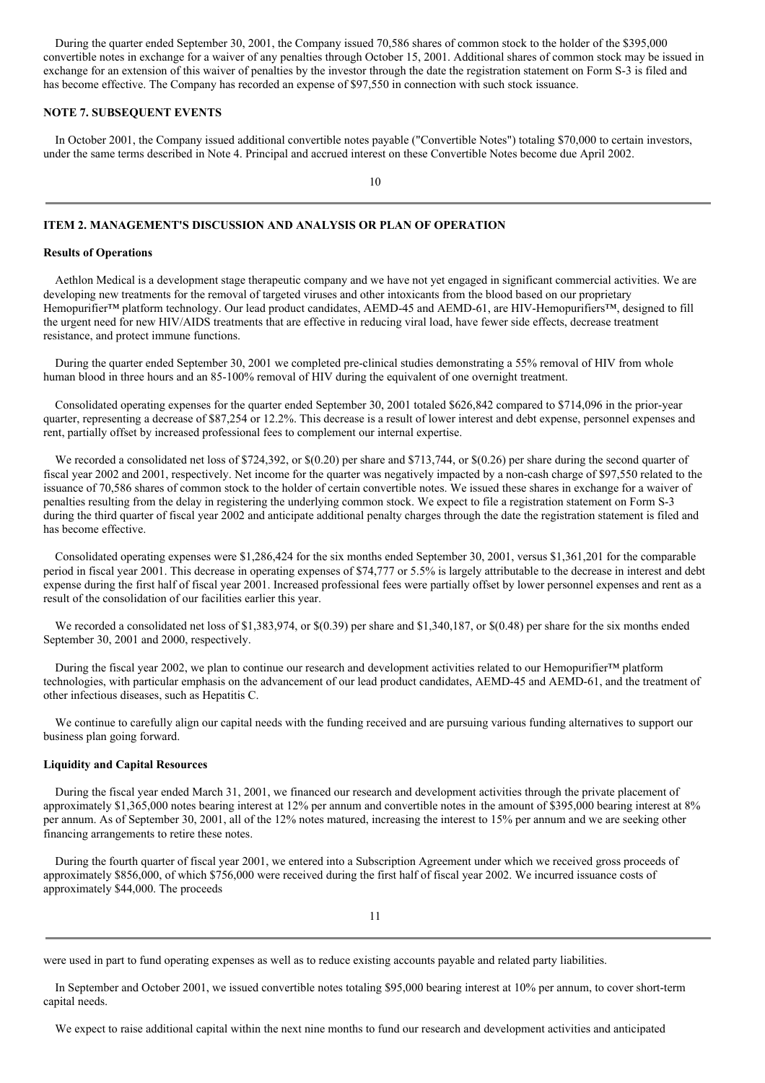During the quarter ended September 30, 2001, the Company issued 70,586 shares of common stock to the holder of the \$395,000 convertible notes in exchange for a waiver of any penalties through October 15, 2001. Additional shares of common stock may be issued in exchange for an extension of this waiver of penalties by the investor through the date the registration statement on Form S-3 is filed and has become effective. The Company has recorded an expense of \$97,550 in connection with such stock issuance.

#### **NOTE 7. SUBSEQUENT EVENTS**

In October 2001, the Company issued additional convertible notes payable ("Convertible Notes") totaling \$70,000 to certain investors, under the same terms described in Note 4. Principal and accrued interest on these Convertible Notes become due April 2002.

 $1<sub>0</sub>$ 

## **ITEM 2. MANAGEMENT'S DISCUSSION AND ANALYSIS OR PLAN OF OPERATION**

#### **Results of Operations**

Aethlon Medical is a development stage therapeutic company and we have not yet engaged in significant commercial activities. We are developing new treatments for the removal of targeted viruses and other intoxicants from the blood based on our proprietary Hemopurifier™ platform technology. Our lead product candidates, AEMD-45 and AEMD-61, are HIV-Hemopurifiers™, designed to fill the urgent need for new HIV/AIDS treatments that are effective in reducing viral load, have fewer side effects, decrease treatment resistance, and protect immune functions.

During the quarter ended September 30, 2001 we completed pre-clinical studies demonstrating a 55% removal of HIV from whole human blood in three hours and an 85-100% removal of HIV during the equivalent of one overnight treatment.

Consolidated operating expenses for the quarter ended September 30, 2001 totaled \$626,842 compared to \$714,096 in the prior-year quarter, representing a decrease of \$87,254 or 12.2%. This decrease is a result of lower interest and debt expense, personnel expenses and rent, partially offset by increased professional fees to complement our internal expertise.

We recorded a consolidated net loss of \$724,392, or \$(0.20) per share and \$713,744, or \$(0.26) per share during the second quarter of fiscal year 2002 and 2001, respectively. Net income for the quarter was negatively impacted by a non-cash charge of \$97,550 related to the issuance of 70,586 shares of common stock to the holder of certain convertible notes. We issued these shares in exchange for a waiver of penalties resulting from the delay in registering the underlying common stock. We expect to file a registration statement on Form S-3 during the third quarter of fiscal year 2002 and anticipate additional penalty charges through the date the registration statement is filed and has become effective.

Consolidated operating expenses were \$1,286,424 for the six months ended September 30, 2001, versus \$1,361,201 for the comparable period in fiscal year 2001. This decrease in operating expenses of \$74,777 or 5.5% is largely attributable to the decrease in interest and debt expense during the first half of fiscal year 2001. Increased professional fees were partially offset by lower personnel expenses and rent as a result of the consolidation of our facilities earlier this year.

We recorded a consolidated net loss of \$1,383,974, or \$(0.39) per share and \$1,340,187, or \$(0.48) per share for the six months ended September 30, 2001 and 2000, respectively.

During the fiscal year 2002, we plan to continue our research and development activities related to our Hemopurifier™ platform technologies, with particular emphasis on the advancement of our lead product candidates, AEMD-45 and AEMD-61, and the treatment of other infectious diseases, such as Hepatitis C.

We continue to carefully align our capital needs with the funding received and are pursuing various funding alternatives to support our business plan going forward.

#### **Liquidity and Capital Resources**

During the fiscal year ended March 31, 2001, we financed our research and development activities through the private placement of approximately \$1,365,000 notes bearing interest at 12% per annum and convertible notes in the amount of \$395,000 bearing interest at 8% per annum. As of September 30, 2001, all of the 12% notes matured, increasing the interest to 15% per annum and we are seeking other financing arrangements to retire these notes.

During the fourth quarter of fiscal year 2001, we entered into a Subscription Agreement under which we received gross proceeds of approximately \$856,000, of which \$756,000 were received during the first half of fiscal year 2002. We incurred issuance costs of approximately \$44,000. The proceeds

were used in part to fund operating expenses as well as to reduce existing accounts payable and related party liabilities.

In September and October 2001, we issued convertible notes totaling \$95,000 bearing interest at 10% per annum, to cover short-term capital needs.

We expect to raise additional capital within the next nine months to fund our research and development activities and anticipated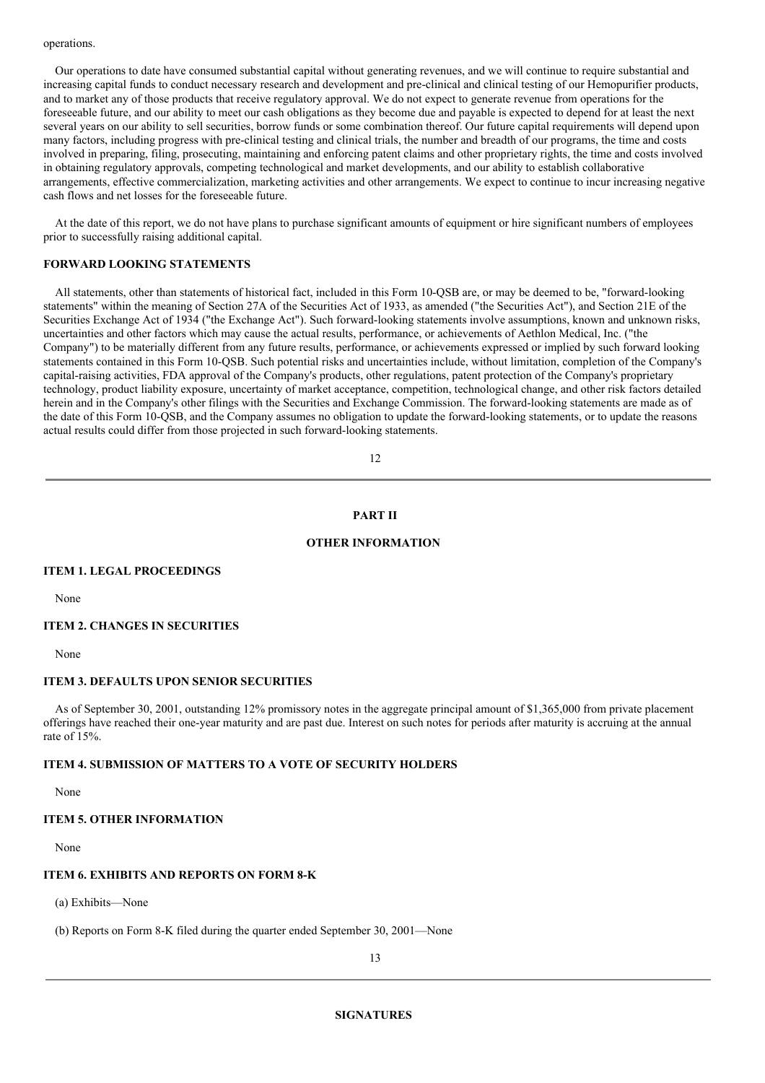#### operations.

Our operations to date have consumed substantial capital without generating revenues, and we will continue to require substantial and increasing capital funds to conduct necessary research and development and pre-clinical and clinical testing of our Hemopurifier products, and to market any of those products that receive regulatory approval. We do not expect to generate revenue from operations for the foreseeable future, and our ability to meet our cash obligations as they become due and payable is expected to depend for at least the next several years on our ability to sell securities, borrow funds or some combination thereof. Our future capital requirements will depend upon many factors, including progress with pre-clinical testing and clinical trials, the number and breadth of our programs, the time and costs involved in preparing, filing, prosecuting, maintaining and enforcing patent claims and other proprietary rights, the time and costs involved in obtaining regulatory approvals, competing technological and market developments, and our ability to establish collaborative arrangements, effective commercialization, marketing activities and other arrangements. We expect to continue to incur increasing negative cash flows and net losses for the foreseeable future.

At the date of this report, we do not have plans to purchase significant amounts of equipment or hire significant numbers of employees prior to successfully raising additional capital.

#### **FORWARD LOOKING STATEMENTS**

All statements, other than statements of historical fact, included in this Form 10-QSB are, or may be deemed to be, "forward-looking statements" within the meaning of Section 27A of the Securities Act of 1933, as amended ("the Securities Act"), and Section 21E of the Securities Exchange Act of 1934 ("the Exchange Act"). Such forward-looking statements involve assumptions, known and unknown risks, uncertainties and other factors which may cause the actual results, performance, or achievements of Aethlon Medical, Inc. ("the Company") to be materially different from any future results, performance, or achievements expressed or implied by such forward looking statements contained in this Form 10-QSB. Such potential risks and uncertainties include, without limitation, completion of the Company's capital-raising activities, FDA approval of the Company's products, other regulations, patent protection of the Company's proprietary technology, product liability exposure, uncertainty of market acceptance, competition, technological change, and other risk factors detailed herein and in the Company's other filings with the Securities and Exchange Commission. The forward-looking statements are made as of the date of this Form 10-QSB, and the Company assumes no obligation to update the forward-looking statements, or to update the reasons actual results could differ from those projected in such forward-looking statements.

12

#### **PART II**

#### **OTHER INFORMATION**

#### **ITEM 1. LEGAL PROCEEDINGS**

None

## **ITEM 2. CHANGES IN SECURITIES**

None

#### **ITEM 3. DEFAULTS UPON SENIOR SECURITIES**

As of September 30, 2001, outstanding 12% promissory notes in the aggregate principal amount of \$1,365,000 from private placement offerings have reached their one-year maturity and are past due. Interest on such notes for periods after maturity is accruing at the annual rate of 15%.

#### **ITEM 4. SUBMISSION OF MATTERS TO A VOTE OF SECURITY HOLDERS**

None

#### **ITEM 5. OTHER INFORMATION**

None

#### **ITEM 6. EXHIBITS AND REPORTS ON FORM 8-K**

(a) Exhibits—None

(b) Reports on Form 8-K filed during the quarter ended September 30, 2001—None